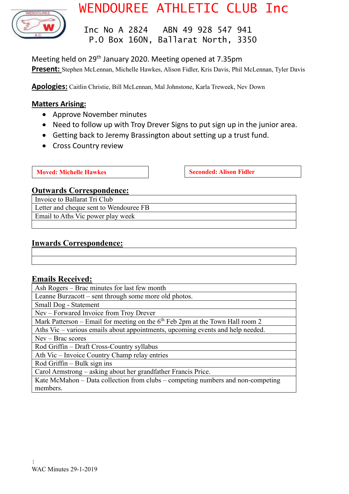

# WENDOUREE ATHLETIC CLUB Inc

 Inc No A 2824 ABN 49 928 547 941 P.O Box 160N, Ballarat North, 3350

Meeting held on 29<sup>th</sup> January 2020. Meeting opened at 7.35pm **Present:** Stephen McLennan, Michelle Hawkes, Alison Fidler, Kris Davis, Phil McLennan, Tyler Davis

**Apologies:** Caitlin Christie, Bill McLennan, Mal Johnstone, Karla Treweek, Nev Down

# **Matters Arising:**

- Approve November minutes
- Need to follow up with Troy Drever Signs to put sign up in the junior area.
- Getting back to Jeremy Brassington about setting up a trust fund.
- Cross Country review

**Moved:** Michelle Hawkes **Seconded:** Alison Fidler

# **Outwards Correspondence:**

Invoice to Ballarat Tri Club Letter and cheque sent to Wendouree FB Email to Aths Vic power play week

# **Inwards Correspondence:**

# **Emails Received:**

Ash Rogers – Brac minutes for last few month

Leanne Burzacott – sent through some more old photos.

Small Dog - Statement

Nev – Forwared Invoice from Troy Drever

Mark Patterson – Email for meeting on the  $6<sup>th</sup>$  Feb 2pm at the Town Hall room 2

Aths Vic – various emails about appointments, upcoming events and help needed.

Nev – Brac scores

Rod Griffin – Draft Cross-Country syllabus

Ath Vic – Invoice Country Champ relay entries

Rod Griffin – Bulk sign  $\overline{\text{ins}}$ 

Carol Armstrong – asking about her grandfather Francis Price.

Kate McMahon – Data collection from clubs – competing numbers and non-competing members.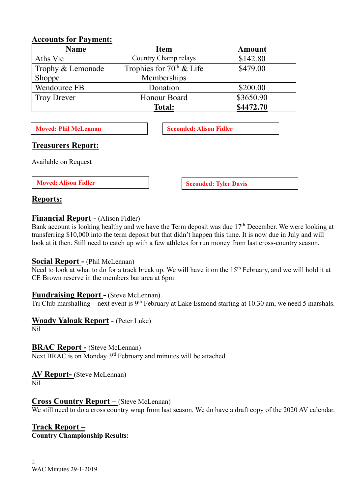| ACCOUNTS IVI I AVINCIIL. |                            |               |  |  |  |
|--------------------------|----------------------------|---------------|--|--|--|
| <b>Name</b>              | <b>Item</b>                | <b>Amount</b> |  |  |  |
| Aths Vic                 | Country Champ relays       | \$142.80      |  |  |  |
| Trophy & Lemonade        | Trophies for $70th$ & Life | \$479.00      |  |  |  |
| Shoppe                   | Memberships                |               |  |  |  |
| Wendouree FB             | Donation                   | \$200.00      |  |  |  |
| <b>Troy Drever</b>       | Honour Board               | \$3650.90     |  |  |  |
|                          | <b>Total:</b>              | \$4472.70     |  |  |  |

# **Accounts for Payment:**

**Moved: Phil McLennan Seconded: Alison Fidler** 

# **Treasurers Report:**

Available on Request

**Moved:** Alison Fidler **Seconded:** Tyler Davis

# **Reports:**

# **Financial Report** - (Alison Fidler)

Bank account is looking healthy and we have the Term deposit was due 17<sup>th</sup> December. We were looking at transferring \$10,000 into the term deposit but that didn't happen this time. It is now due in July and will look at it then. Still need to catch up with a few athletes for run money from last cross-country season.

# **Social Report -** (Phil McLennan)

Need to look at what to do for a track break up. We will have it on the 15<sup>th</sup> February, and we will hold it at CE Brown reserve in the members bar area at 6pm.

# **Fundraising Report -** (Steve McLennan)

Tri Club marshalling – next event is 9<sup>th</sup> February at Lake Esmond starting at 10.30 am, we need 5 marshals.

# **Woady Yaloak Report -** (Peter Luke)

Nil

# **BRAC Report -** (Steve McLennan)

Next BRAC is on Monday 3<sup>rd</sup> February and minutes will be attached.

**AV Report-** (Steve McLennan) Nil

# **Cross Country Report –** (Steve McLennan)

We still need to do a cross country wrap from last season. We do have a draft copy of the 2020 AV calendar.

# **Track Report – Country Championship Results:**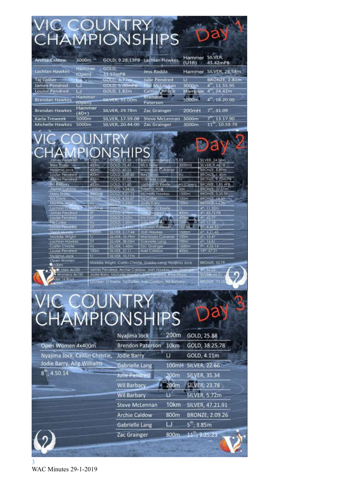| VIC COUNTRY<br>CHAMPIONSHIPS          |                   |                                  |                                     |                 |                                     |
|---------------------------------------|-------------------|----------------------------------|-------------------------------------|-----------------|-------------------------------------|
|                                       |                   |                                  |                                     |                 |                                     |
|                                       |                   |                                  |                                     |                 |                                     |
| <b>Archie Caldow</b>                  | 3000m             |                                  | GOLD, 9.28.13PB Lachlan Hawkes      | Hammer<br>(U18) | SILVER,<br>45.42mPB                 |
| Lachlan Hawkes                        | Hammer<br>(Open)  | GOLD,<br>33.57mPB                | Jess Rodda                          | Hammer          | SILVER, 26.58m                      |
| <b>Taj Collier</b>                    |                   | GOLD, 4,77m.                     | Julie Pendred                       | ы               | BRONZE, 2.81m                       |
| James Pendred                         | w                 | GOLD, 5.00mP6                    | <b>Phil McLennan</b>                | 3000m           | $4th$ , 11.55.95                    |
| Louise Pendred                        | ū                 | GOLD, 1.82m                      | Caitlin Christie                    | Hammer          | $4^{\circ\circ}$ , 24.42m           |
| <b>Brendan Hawkes</b>                 | Hammer<br>(Open)  | <b>SILVER, 32.00m</b>            | <b>Brendon</b><br>Paterson          | 5000m           | $4^{th}$ , 18.20.00                 |
| <b>Brendan Hawkes</b>                 | Hammer<br>$(40+)$ | <b>SILVER, 29.78m</b>            | Zac Grainger                        | 200mH           | $7^{\rm m}$ , 31.09                 |
| Karla Treweek                         | 5000m             | SILVER, 17.59.08                 | <b>Steve McLennan</b>               | 3000m           | $7^{\prime\prime\prime}$ , 13.17.90 |
| Michelle Hawkes                       | 5000m             | SILVER, 20.44.00                 | Zac Grainger                        | 3000m           | $11^{1h}$ , 10.59.79                |
|                                       |                   |                                  |                                     |                 |                                     |
|                                       |                   | NTRY                             |                                     |                 |                                     |
|                                       |                   |                                  |                                     |                 |                                     |
|                                       |                   | NSHIPS                           |                                     |                 |                                     |
|                                       |                   |                                  |                                     |                 |                                     |
| James Pendrea                         | 00m               | GOID, 13.50                      | Brandan Hawkes 4DT                  |                 | SILVER, 24.09m                      |
| <b>Bree Sharp</b>                     | 400m              | GOLD, 75.42                      | Mick Figler                         | 3000mS          | SILVER, 9.46.78                     |
| Nyajima Jock<br><b>Louise Pendred</b> | 400m<br>400m      | GOLD, 60.25<br>GOLD, 2,07.60     | Mackeyla Culvenor<br>Nev Down       | 11<br>нı        | BRONZE, 8.89m<br>BRONZE, 1.40m      |
| <b>Junies Pendred</b>                 | 400m              | GOLD, 61.02                      | Golonelle Long                      | TJ              | BRONZE 9.22m RB                     |
| Wi-flatbary                           | 400m              | GOLD, 51.60                      | Lachian O'Keele                     |                 | HJ (Open) 8RONZE, 1.85 =PB          |
| <b>Archie Coldow</b>                  | 1500m             | GOLD, 4,24.06                    | Taleisho Wise                       | Joy             | BRONZE, 37.01m                      |
|                                       |                   | <b>WEIGHT THE THE TELEVISION</b> | THE R. P. LEWIS CO., LANSING, MICH. | <b>KENN</b>     | <b>INDICATED CITATION</b>           |

Knt Davis Moddle Wight Lachian O'Kesle<sup>1</sup><br>James Pendred<br>Lacite Pendred Tai Coller Louise Pencred

**Stoph Mundy** Moddle Wright Lachlan Hawkes Coithn Christie **Louise Pendred** Nyajima Jock Open Women **Axtoom** 

 $100m - 100$ 

and the state of the state of the state of the state of the state of the state of the state of the state of the state of the state of the state of the state of the state of the state of the state of the state of the state

HJ SILVER 1.45m Zac Grainger<br>| 100m | SILVER 27.11 | Axel Caldow<br>| TJ | SILVER 10.77m |

Maddie Wright, Caitlin Christie, Gabby Lang, Nyajimo Jock the Men 4x100<br>Womens 4x100 James Pendred, Archie Caldow,<br>Jack 16 Boys 4x100 Jodie Bony, Michale Hawkes, Jo<br>Jack 16 Boys 16 Lockier 0 Keefe, Tal Coller, Aw James Pendred, Archie Caldaw, Josh Hawkes, Zac Giu **He Pendred Bree Shorp** 

Lachon o keele, tal Coller, Axel Coldow, Wil Baroary



**BRONZE, 52.79 Nobizal** 30 SILVENW66.21 **SHONZE: 53.10** 

# VIC COUNTRY<br>CHAMPIONSHIPS

|                                 | Nyajima Jock            | 200m | GOLD, 25.88          |
|---------------------------------|-------------------------|------|----------------------|
| Open Women 4x400m               | <b>Brendon Paterson</b> | 10km | GOLD, 38.25.78       |
| Nyajima Jock, Caitlin Christie, | <b>Jodie Barry</b>      | υ    | GOLD, 4.11m          |
| Jodie Barry, Ang Williams       | Gabrielle Lang          |      | 100mH SILVER, 22.66  |
| $8^{\text{th}}$ , 4.50.14       | Julie Pendred           | 200m | <b>SILVER, 35.34</b> |
|                                 | Wil Barbary             | 200m | <b>SILVER, 23.78</b> |
|                                 | <b>Wil Barbary</b>      | u    | <b>SILVER, 5.72m</b> |
|                                 | <b>Steve McLennan</b>   | 10km | SILVER, 47.21.91     |
|                                 | <b>Archie Caldow</b>    | 800m | BRONZE, 2.09.26      |
|                                 | <b>Gabrielle Lang</b>   | IJ   | $5th$ , 3.85m        |
|                                 | Zac Grainger            | 800m | $11^{th}$ , 2.25.23  |

3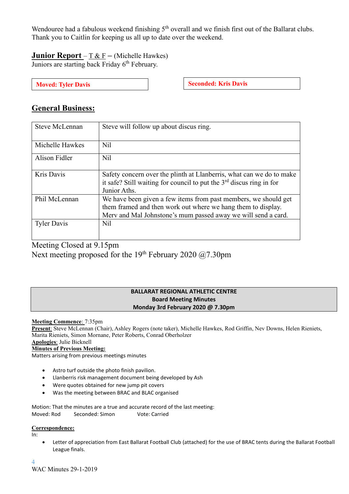Wendouree had a fabulous weekend finishing 5<sup>th</sup> overall and we finish first out of the Ballarat clubs. Thank you to Caitlin for keeping us all up to date over the weekend.

**Junior Report** – T & F **–** (Michelle Hawkes) Juniors are starting back Friday 6<sup>th</sup> February.

**Moved:** Tyler Davis **Seconded: Seconded: Kris Davis** 

# **General Business:**

| <b>Steve McLennan</b> | Steve will follow up about discus ring.                                                                                                                                                          |
|-----------------------|--------------------------------------------------------------------------------------------------------------------------------------------------------------------------------------------------|
|                       |                                                                                                                                                                                                  |
| Michelle Hawkes       | N <sub>il</sub>                                                                                                                                                                                  |
| Alison Fidler         | N <sub>il</sub>                                                                                                                                                                                  |
| Kris Davis            | Safety concern over the plinth at Llanberris, what can we do to make<br>it safe? Still waiting for council to put the $3rd$ discus ring in for<br>Junior Aths.                                   |
| Phil McLennan         | We have been given a few items from past members, we should get<br>them framed and then work out where we hang them to display.<br>Merv and Mal Johnstone's mum passed away we will send a card. |
| <b>Tyler Davis</b>    | N <sub>il</sub>                                                                                                                                                                                  |

Meeting Closed at 9.15pm

Next meeting proposed for the 19<sup>th</sup> February 2020  $(27.30 \text{pm})$ 

### **BALLARAT REGIONAL ATHLETIC CENTRE Board Meeting Minutes Monday 3rd February 2020 @ 7.30pm**

#### **Meeting Commence**: 7:35pm

**Present**: Steve McLennan (Chair), Ashley Rogers (note taker), Michelle Hawkes, Rod Griffin, Nev Downs, Helen Rieniets, Marita Rieniets, Simon Mornane, Peter Roberts, Conrad Oberholzer **Apologies**: Julie Bicknell

## **Minutes of Previous Meeting:**

Matters arising from previous meetings minutes

- Astro turf outside the photo finish pavilion.
- Llanberris risk management document being developed by Ash
- Were quotes obtained for new jump pit covers
- Was the meeting between BRAC and BLAC organised

Motion: That the minutes are a true and accurate record of the last meeting: Moved: Rod Seconded: Simon Vote: Carried

#### **Correspondence:**

In:

Letter of appreciation from East Ballarat Football Club (attached) for the use of BRAC tents during the Ballarat Football League finals.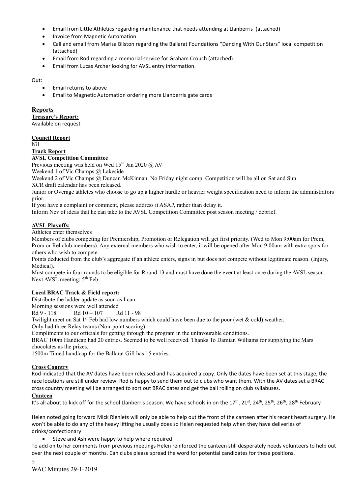- Email from Little Athletics regarding maintenance that needs attending at Llanberris (attached)
- Invoice from Magnetic Automation
- Call and email from Marisa Bilston regarding the Ballarat Foundations "Dancing With Our Stars" local competition (attached)
- Email from Rod regarding a memorial service for Graham Crouch (attached)
- Email from Lucas Archer looking for AVSL entry information.

Out:

- Email returns to above
- Email to Magnetic Automation ordering more Llanberris gate cards

#### **Reports**

**Treasure's Report:**

Available on request

#### **Council Report**

Nil

#### **Track Report**

**AVSL Competition Committee**

Previous meeting was held on Wed  $15<sup>th</sup>$  Jan 2020 @ AV

Weekend 1 of Vic Champs @ Lakeside

Weekend 2 of Vic Champs @ Duncan McKinnan. No Friday night comp. Competition will be all on Sat and Sun.

XCR draft calendar has been released.

Junior or Overage athletes who choose to go up a higher hurdle or heavier weight specification need to inform the administrators prior.

If you have a complaint or comment, please address it ASAP, rather than delay it.

Inform Nev of ideas that he can take to the AVSL Competition Committee post season meeting / debrief.

#### **AVSL Playoffs:**

Athletes enter themselves

Members of clubs competing for Premiership, Promotion or Relegation will get first priority. (Wed to Mon 9:00am for Prem, Prom or Rel club members). Any external members who wish to enter, it will be opened after Mon 9:00am with extra spots for others who wish to compete.

Points deducted from the club's aggregate if an athlete enters, signs in but does not compete without legitimate reason. (Injury, Medical).

Must compete in four rounds to be eligible for Round 13 and must have done the event at least once during the AVSL season. Next AVSL meeting: 5<sup>th</sup> Feb

#### **Local BRAC Track & Field report:**

Distribute the ladder update as soon as I can.

Morning sessions were well attended

Rd 9 - 118 Rd 10 – 107 Rd 11 - 98

Twilight meet on Sat 1st Feb had low numbers which could have been due to the poor (wet  $\&$  cold) weather.

Only had three Relay teams (Non-point scoring)

Compliments to our officials for getting through the program in the unfavourable conditions.

BRAC 100m Handicap had 20 entries. Seemed to be well received. Thanks To Damian Williams for supplying the Mars chocolates as the prizes.

1500m Timed handicap for the Ballarat Gift has 15 entries.

#### **Cross Country**

Rod indicated that the AV dates have been released and has acquired a copy. Only the dates have been set at this stage, the race locations are still under review. Rod is happy to send them out to clubs who want them. With the AV dates set a BRAC cross country meeting will be arranged to sort out BRAC dates and get the ball rolling on club syllabuses.

#### **Canteen**

It's all about to kick off for the school Llanberris season. We have schools in on the 17<sup>th</sup>, 21<sup>st</sup>, 24<sup>th</sup>, 25<sup>th</sup>, 26<sup>th</sup>, 28<sup>th</sup> February

Helen noted going forward Mick Rieniets will only be able to help out the front of the canteen after his recent heart surgery. He won't be able to do any of the heavy lifting he usually does so Helen requested help when they have deliveries of drinks/confectionary

Steve and Ash were happy to help where required

To add on to her comments from previous meetings Helen reinforced the canteen still desperately needs volunteers to help out over the next couple of months. Can clubs please spread the word for potential candidates for these positions.

5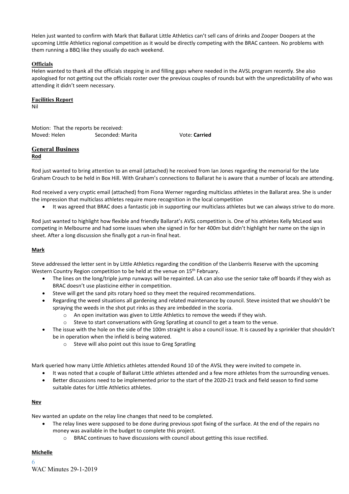Helen just wanted to confirm with Mark that Ballarat Little Athletics can't sell cans of drinks and Zooper Doopers at the upcoming Little Athletics regional competition as it would be directly competing with the BRAC canteen. No problems with them running a BBQ like they usually do each weekend.

#### **Officials**

Helen wanted to thank all the officials stepping in and filling gaps where needed in the AVSL program recently. She also apologised for not getting out the officials roster over the previous couples of rounds but with the unpredictability of who was attending it didn't seem necessary.

#### **Facilities Report**

Nil

Motion: That the reports be received: Moved: Helen Seconded: Marita Vote: Carried

#### **General Business Rod**

Rod just wanted to bring attention to an email (attached) he received from Ian Jones regarding the memorial for the late Graham Crouch to be held in Box Hill. With Graham's connections to Ballarat he is aware that a number of locals are attending.

Rod received a very cryptic email (attached) from Fiona Werner regarding multiclass athletes in the Ballarat area. She is under the impression that multiclass athletes require more recognition in the local competition

• It was agreed that BRAC does a fantastic job in supporting our multiclass athletes but we can always strive to do more.

Rod just wanted to highlight how flexible and friendly Ballarat's AVSL competition is. One of his athletes Kelly McLeod was competing in Melbourne and had some issues when she signed in for her 400m but didn't highlight her name on the sign in sheet. After a long discussion she finally got a run-in final heat.

#### **Mark**

Steve addressed the letter sent in by Little Athletics regarding the condition of the Llanberris Reserve with the upcoming Western Country Region competition to be held at the venue on 15<sup>th</sup> February.

- The lines on the long/triple jump runways will be repainted. LA can also use the senior take off boards if they wish as BRAC doesn't use plasticine either in competition.
- Steve will get the sand pits rotary hoed so they meet the required recommendations.
- Regarding the weed situations all gardening and related maintenance by council. Steve insisted that we shouldn't be spraying the weeds in the shot put rinks as they are imbedded in the scoria.
	- o An open invitation was given to Little Athletics to remove the weeds if they wish.
	- o Steve to start conversations with Greg Spratling at council to get a team to the venue.
- The issue with the hole on the side of the 100m straight is also a council issue. It is caused by a sprinkler that shouldn't be in operation when the infield is being watered.
	- o Steve will also point out this issue to Greg Spratling

Mark queried how many Little Athletics athletes attended Round 10 of the AVSL they were invited to compete in.

- It was noted that a couple of Ballarat Little athletes attended and a few more athletes from the surrounding venues.
- Better discussions need to be implemented prior to the start of the 2020-21 track and field season to find some suitable dates for Little Athletics athletes.

#### **Nev**

Nev wanted an update on the relay line changes that need to be completed.

- The relay lines were supposed to be done during previous spot fixing of the surface. At the end of the repairs no money was available in the budget to complete this project.
	- o BRAC continues to have discussions with council about getting this issue rectified.

#### **Michelle**

6 WAC Minutes 29-1-2019